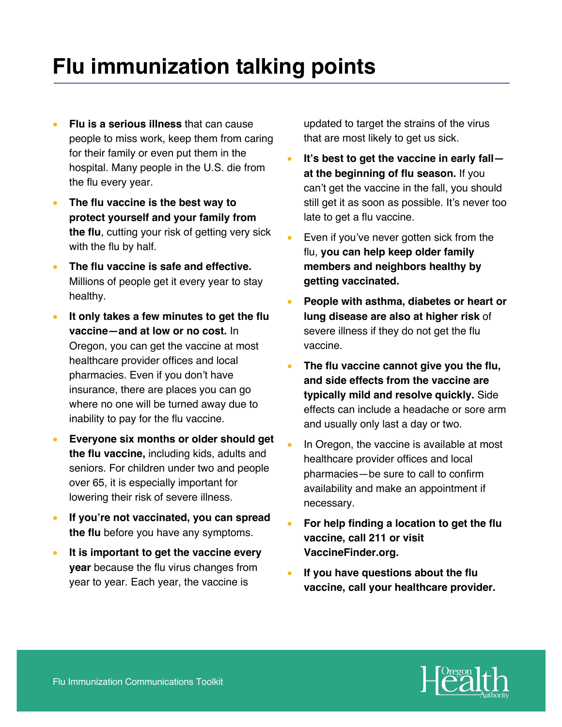## **Flu immunization talking points**

- **Flu is a serious illness** that can cause people to miss work, keep them from caring for their family or even put them in the hospital. Many people in the U.S. die from the flu every year.
- **The flu vaccine is the best way to protect yourself and your family from the flu**, cutting your risk of getting very sick with the flu by half.
- **The flu vaccine is safe and effective.** Millions of people get it every year to stay healthy.
- **It only takes a few minutes to get the flu vaccine—and at low or no cost.** In Oregon, you can get the vaccine at most healthcare provider offices and local pharmacies. Even if you don't have insurance, there are places you can go where no one will be turned away due to inability to pay for the flu vaccine.
- **Everyone six months or older should get the flu vaccine,** including kids, adults and seniors. For children under two and people over 65, it is especially important for lowering their risk of severe illness.
- **If you're not vaccinated, you can spread the flu** before you have any symptoms.
- **It is important to get the vaccine every year** because the flu virus changes from year to year. Each year, the vaccine is

updated to target the strains of the virus that are most likely to get us sick.

- **It's best to get the vaccine in early fall at the beginning of flu season.** If you can't get the vaccine in the fall, you should still get it as soon as possible. It's never too late to get a flu vaccine.
- Even if you've never gotten sick from the flu, **you can help keep older family members and neighbors healthy by getting vaccinated.**
- **People with asthma, diabetes or heart or lung disease are also at higher risk** of severe illness if they do not get the flu vaccine.
- **The flu vaccine cannot give you the flu, and side effects from the vaccine are typically mild and resolve quickly.** Side effects can include a headache or sore arm and usually only last a day or two.
- In Oregon, the vaccine is available at most healthcare provider offices and local pharmacies—be sure to call to confirm availability and make an appointment if necessary.
- **For help finding a location to get the flu vaccine, call 211 or visit VaccineFinder.org.**
- **If you have questions about the flu vaccine, call your healthcare provider.**